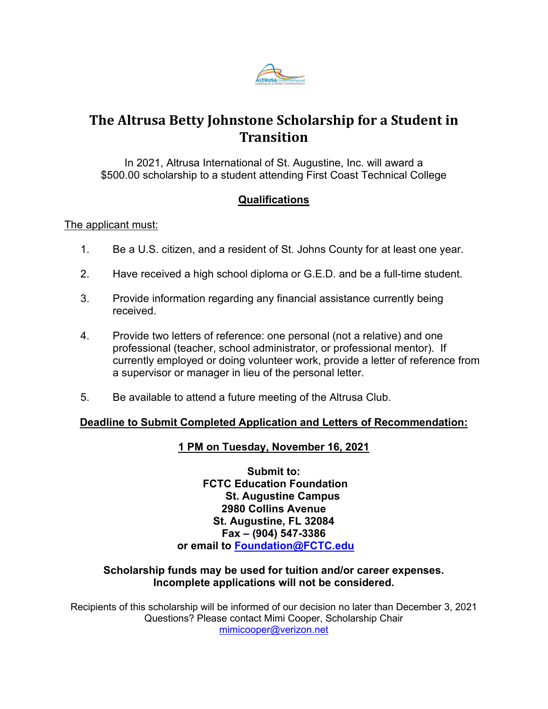

# **The Altrusa Betty Johnstone Scholarship for a Student in Transition**

In 2021, Altrusa International of St. Augustine, Inc. will award a \$500.00 scholarship to a student attending First Coast Technical College

## **Qualifications**

### The applicant must:

- 1. Be a U.S. citizen, and a resident of St. Johns County for at least one year.
- 2. Have received a high school diploma or G.E.D. and be a full-time student.
- 3. Provide information regarding any financial assistance currently being received.
- 4. Provide two letters of reference: one personal (not a relative) and one professional (teacher, school administrator, or professional mentor). If currently employed or doing volunteer work, provide a letter of reference from a supervisor or manager in lieu of the personal letter.
- 5. Be available to attend a future meeting of the Altrusa Club.

#### **Deadline to Submit Completed Application and Letters of Recommendation:**

### **1 PM on Tuesday, November 16, 2021**

**Submit to: FCTC Education Foundation St. Augustine Campus 2980 Collins Avenue St. Augustine, FL 32084 Fax – (904) 547-3386 or email to [Foundation@FCTC.edu](mailto:Foundation@FCTC.edu)**

#### **Scholarship funds may be used for tuition and/or career expenses. Incomplete applications will not be considered.**

Recipients of this scholarship will be informed of our decision no later than December 3, 2021 Questions? Please contact Mimi Cooper, Scholarship Chair [mimicooper@verizon.net](mailto:mimicooper@verizon.net)